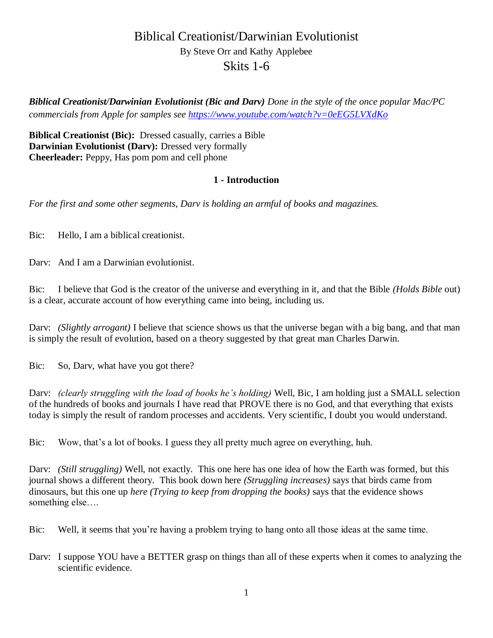# Biblical Creationist/Darwinian Evolutionist By Steve Orr and Kathy Applebee Skits 1-6

*Biblical Creationist/Darwinian Evolutionist (Bic and Darv) Done in the style of the once popular Mac/PC commercials from Apple for samples see<https://www.youtube.com/watch?v=0eEG5LVXdKo>*

**Biblical Creationist (Bic):** Dressed casually, carries a Bible **Darwinian Evolutionist (Darv):** Dressed very formally **Cheerleader:** Peppy, Has pom pom and cell phone

## **1 - Introduction**

*For the first and some other segments, Darv is holding an armful of books and magazines.* 

Bic: Hello, I am a biblical creationist.

Darv: And I am a Darwinian evolutionist.

Bic: I believe that God is the creator of the universe and everything in it, and that the Bible *(Holds Bible* out) is a clear, accurate account of how everything came into being, including us.

Dary: *(Slightly arrogant)* I believe that science shows us that the universe began with a big bang, and that man is simply the result of evolution, based on a theory suggested by that great man Charles Darwin.

Bic: So, Darv, what have you got there?

Darv: *(clearly struggling with the load of books he's holding)* Well, Bic, I am holding just a SMALL selection of the hundreds of books and journals I have read that PROVE there is no God, and that everything that exists today is simply the result of random processes and accidents. Very scientific, I doubt you would understand.

Bic: Wow, that's a lot of books. I guess they all pretty much agree on everything, huh.

Darv: *(Still struggling)* Well, not exactly. This one here has one idea of how the Earth was formed, but this journal shows a different theory. This book down here *(Struggling increases)* says that birds came from dinosaurs, but this one up *here (Trying to keep from dropping the books)* says that the evidence shows something else….

Bic: Well, it seems that you're having a problem trying to hang onto all those ideas at the same time.

Dary: I suppose YOU have a BETTER grasp on things than all of these experts when it comes to analyzing the scientific evidence.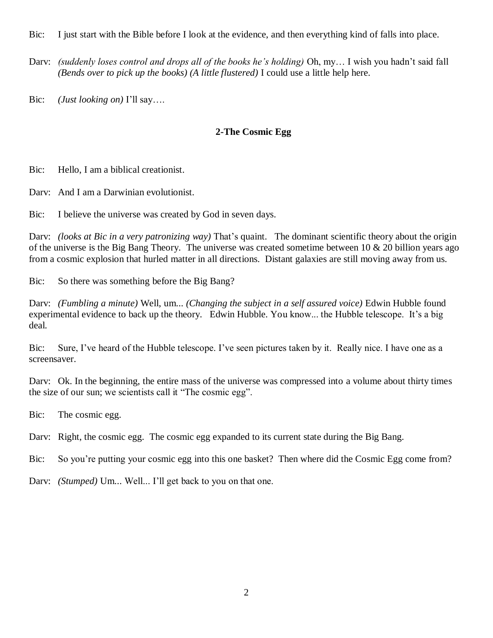Bic: I just start with the Bible before I look at the evidence, and then everything kind of falls into place.

Darv: *(suddenly loses control and drops all of the books he's holding)* Oh, my… I wish you hadn't said fall *(Bends over to pick up the books) (A little flustered)* I could use a little help here.

Bic: *(Just looking on)* I'll say….

## **2-The Cosmic Egg**

Bic: Hello, I am a biblical creationist.

Darv: And I am a Darwinian evolutionist.

Bic: I believe the universe was created by God in seven days.

Darv: *(looks at Bic in a very patronizing way)* That's quaint. The dominant scientific theory about the origin of the universe is the Big Bang Theory. The universe was created sometime between  $10 \& 20$  billion years ago from a cosmic explosion that hurled matter in all directions. Distant galaxies are still moving away from us.

Bic: So there was something before the Big Bang?

Darv: *(Fumbling a minute)* Well, um... *(Changing the subject in a self assured voice)* Edwin Hubble found experimental evidence to back up the theory. Edwin Hubble. You know... the Hubble telescope. It's a big deal.

Bic: Sure, I've heard of the Hubble telescope. I've seen pictures taken by it. Really nice. I have one as a screensaver.

Darv: Ok. In the beginning, the entire mass of the universe was compressed into a volume about thirty times the size of our sun; we scientists call it "The cosmic egg".

Bic: The cosmic egg.

Dary: Right, the cosmic egg. The cosmic egg expanded to its current state during the Big Bang.

Bic: So you're putting your cosmic egg into this one basket? Then where did the Cosmic Egg come from?

Darv: *(Stumped)* Um... Well... I'll get back to you on that one.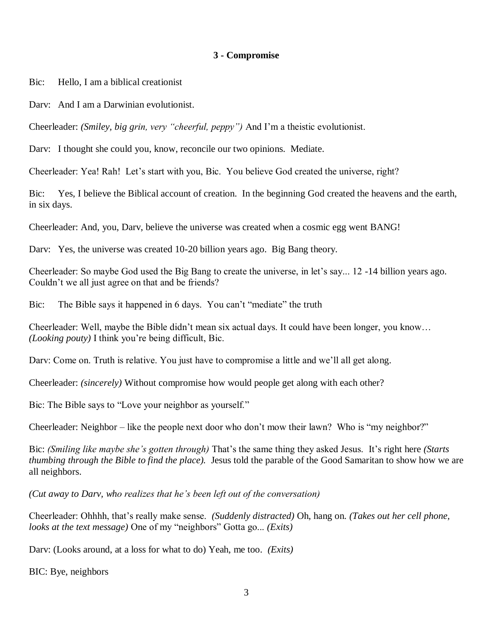#### **3 - Compromise**

Bic: Hello, I am a biblical creationist

Darv: And I am a Darwinian evolutionist.

Cheerleader: *(Smiley, big grin, very "cheerful, peppy")* And I'm a theistic evolutionist.

Darv: I thought she could you, know, reconcile our two opinions. Mediate.

Cheerleader: Yea! Rah! Let's start with you, Bic. You believe God created the universe, right?

Bic: Yes, I believe the Biblical account of creation. In the beginning God created the heavens and the earth, in six days.

Cheerleader: And, you, Darv, believe the universe was created when a cosmic egg went BANG!

Darv: Yes, the universe was created 10-20 billion years ago. Big Bang theory.

Cheerleader: So maybe God used the Big Bang to create the universe, in let's say... 12 -14 billion years ago. Couldn't we all just agree on that and be friends?

Bic: The Bible says it happened in 6 days. You can't "mediate" the truth

Cheerleader: Well, maybe the Bible didn't mean six actual days. It could have been longer, you know… *(Looking pouty)* I think you're being difficult, Bic.

Dary: Come on. Truth is relative. You just have to compromise a little and we'll all get along.

Cheerleader: *(sincerely)* Without compromise how would people get along with each other?

Bic: The Bible says to "Love your neighbor as yourself."

Cheerleader: Neighbor – like the people next door who don't mow their lawn? Who is "my neighbor?"

Bic: *(Smiling like maybe she's gotten through)* That's the same thing they asked Jesus. It's right here *(Starts thumbing through the Bible to find the place).* Jesus told the parable of the Good Samaritan to show how we are all neighbors.

*(Cut away to Darv, who realizes that he's been left out of the conversation)*

Cheerleader: Ohhhh, that's really make sense. *(Suddenly distracted)* Oh, hang on*. (Takes out her cell phone, looks at the text message)* One of my "neighbors" Gotta go... *(Exits)*

Darv: (Looks around, at a loss for what to do) Yeah, me too. *(Exits)*

BIC: Bye, neighbors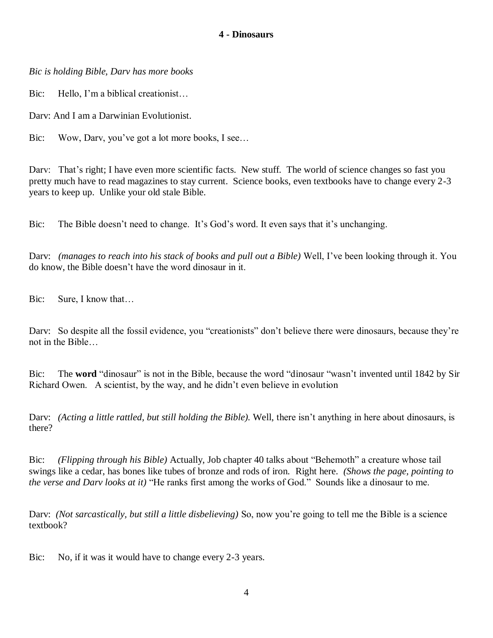#### **4 - Dinosaurs**

*Bic is holding Bible, Darv has more books*

Bic: Hello, I'm a biblical creationist...

Darv: And I am a Darwinian Evolutionist.

Bic: Wow, Dary, you've got a lot more books, I see...

Dary: That's right; I have even more scientific facts. New stuff. The world of science changes so fast you pretty much have to read magazines to stay current. Science books, even textbooks have to change every 2-3 years to keep up. Unlike your old stale Bible.

Bic: The Bible doesn't need to change. It's God's word. It even says that it's unchanging.

Darv: *(manages to reach into his stack of books and pull out a Bible)* Well, I've been looking through it. You do know, the Bible doesn't have the word dinosaur in it.

Bic: Sure, I know that…

Darv: So despite all the fossil evidence, you "creationists" don't believe there were dinosaurs, because they're not in the Bible…

Bic: The **word** "dinosaur" is not in the Bible, because the word "dinosaur "wasn't invented until 1842 by Sir Richard Owen. A scientist, by the way, and he didn't even believe in evolution

Darv: *(Acting a little rattled, but still holding the Bible).* Well, there isn't anything in here about dinosaurs, is there?

Bic: *(Flipping through his Bible)* Actually, Job chapter 40 talks about "Behemoth" a creature whose tail swings like a cedar, has bones like tubes of bronze and rods of iron. Right here. *(Shows the page, pointing to the verse and Darv looks at it)* "He ranks first among the works of God." Sounds like a dinosaur to me.

Darv: *(Not sarcastically, but still a little disbelieving)* So, now you're going to tell me the Bible is a science textbook?

Bic: No, if it was it would have to change every 2-3 years.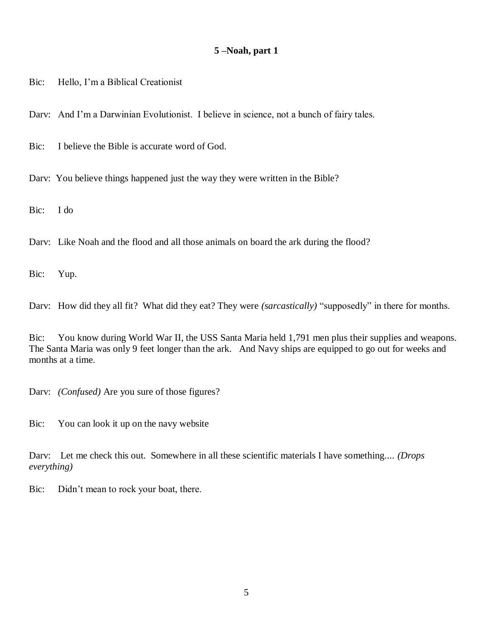#### **5 –Noah, part 1**

Bic: Hello, I'm a Biblical Creationist

Darv: And I'm a Darwinian Evolutionist. I believe in science, not a bunch of fairy tales.

Bic: I believe the Bible is accurate word of God.

Dary: You believe things happened just the way they were written in the Bible?

Bic: I do

Darv: Like Noah and the flood and all those animals on board the ark during the flood?

Bic: Yup.

Darv: How did they all fit? What did they eat? They were *(sarcastically)* "supposedly" in there for months.

Bic: You know during World War II, the USS Santa Maria held 1,791 men plus their supplies and weapons. The Santa Maria was only 9 feet longer than the ark. And Navy ships are equipped to go out for weeks and months at a time.

Darv: *(Confused)* Are you sure of those figures?

Bic: You can look it up on the navy website

Darv: Let me check this out. Somewhere in all these scientific materials I have something.... *(Drops everything)*

Bic: Didn't mean to rock your boat, there.